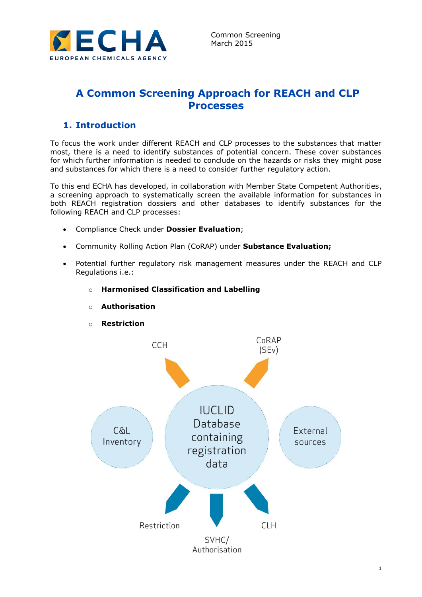

# **A Common Screening Approach for REACH and CLP Processes**

## **1. Introduction**

To focus the work under different REACH and CLP processes to the substances that matter most, there is a need to identify substances of potential concern. These cover substances for which further information is needed to conclude on the hazards or risks they might pose and substances for which there is a need to consider further regulatory action.

To this end ECHA has developed, in collaboration with Member State Competent Authorities, a screening approach to systematically screen the available information for substances in both REACH registration dossiers and other databases to identify substances for the following REACH and CLP processes:

- Compliance Check under **Dossier Evaluation**;
- Community Rolling Action Plan (CoRAP) under **Substance Evaluation;**
- Potential further regulatory risk management measures under the REACH and CLP Regulations i.e.:

#### o **Harmonised Classification and Labelling**



o **Authorisation**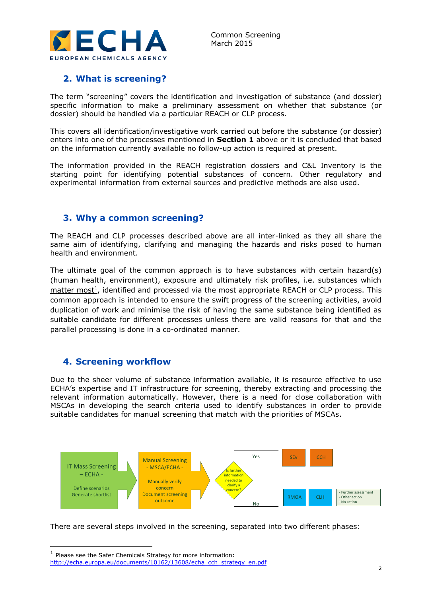

### **2. What is screening?**

The term "screening" covers the identification and investigation of substance (and dossier) specific information to make a preliminary assessment on whether that substance (or dossier) should be handled via a particular REACH or CLP process.

This covers all identification/investigative work carried out before the substance (or dossier) enters into one of the processes mentioned in **Section 1** above or it is concluded that based on the information currently available no follow-up action is required at present.

The information provided in the REACH registration dossiers and C&L Inventory is the starting point for identifying potential substances of concern. Other regulatory and experimental information from external sources and predictive methods are also used.

### **3. Why a common screening?**

The REACH and CLP processes described above are all inter-linked as they all share the same aim of identifying, clarifying and managing the hazards and risks posed to human health and environment.

The ultimate goal of the common approach is to have substances with certain hazard(s) (human health, environment), exposure and ultimately risk profiles, i.e. substances which  $m$ atter most<sup>1</sup>, identified and processed via the most appropriate REACH or CLP process. This common approach is intended to ensure the swift progress of the screening activities, avoid duplication of work and minimise the risk of having the same substance being identified as suitable candidate for different processes unless there are valid reasons for that and the parallel processing is done in a co-ordinated manner.

### **4. Screening workflow**

Due to the sheer volume of substance information available, it is resource effective to use ECHA's expertise and IT infrastructure for screening, thereby extracting and processing the relevant information automatically. However, there is a need for close collaboration with MSCAs in developing the search criteria used to identify substances in order to provide suitable candidates for manual screening that match with the priorities of MSCAs.



There are several steps involved in the screening, separated into two different phases:

 $<sup>1</sup>$  Please see the Safer Chemicals Strategy for more information:</sup> [http://echa.europa.eu/documents/10162/13608/echa\\_cch\\_strategy\\_en.pdf](http://echa.europa.eu/documents/10162/13608/echa_cch_strategy_en.pdf)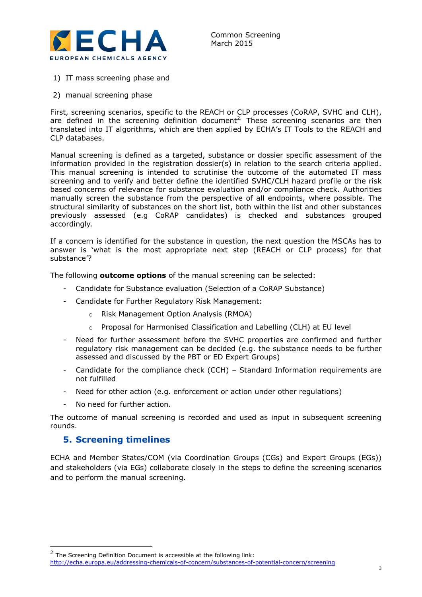

- 1) IT mass screening phase and
- 2) manual screening phase

First, screening scenarios, specific to the REACH or CLP processes (CoRAP, SVHC and CLH), are defined in the screening definition document<sup>2.</sup> These screening scenarios are then translated into IT algorithms, which are then applied by ECHA's IT Tools to the REACH and CLP databases.

Manual screening is defined as a targeted, substance or dossier specific assessment of the information provided in the registration dossier(s) in relation to the search criteria applied. This manual screening is intended to scrutinise the outcome of the automated IT mass screening and to verify and better define the identified SVHC/CLH hazard profile or the risk based concerns of relevance for substance evaluation and/or compliance check. Authorities manually screen the substance from the perspective of all endpoints, where possible. The structural similarity of substances on the short list, both within the list and other substances previously assessed (e.g CoRAP candidates) is checked and substances grouped accordingly.

If a concern is identified for the substance in question, the next question the MSCAs has to answer is 'what is the most appropriate next step (REACH or CLP process) for that substance'?

The following **outcome options** of the manual screening can be selected:

- Candidate for Substance evaluation (Selection of a CoRAP Substance)
- Candidate for Further Regulatory Risk Management:
	- o Risk Management Option Analysis (RMOA)
	- $\circ$  Proposal for Harmonised Classification and Labelling (CLH) at EU level
- Need for further assessment before the SVHC properties are confirmed and further regulatory risk management can be decided (e.g. the substance needs to be further assessed and discussed by the PBT or ED Expert Groups)
- Candidate for the compliance check (CCH) Standard Information requirements are not fulfilled
- Need for other action (e.g. enforcement or action under other regulations)
- No need for further action.

The outcome of manual screening is recorded and used as input in subsequent screening rounds.

### **5. Screening timelines**

ECHA and Member States/COM (via Coordination Groups (CGs) and Expert Groups (EGs)) and stakeholders (via EGs) collaborate closely in the steps to define the screening scenarios and to perform the manual screening.

<sup>&</sup>lt;u>The Screening Definition Document is accessible at the following link:</u><br>The Screening Definition Document is accessible at the following link: <http://echa.europa.eu/addressing-chemicals-of-concern/substances-of-potential-concern/screening>